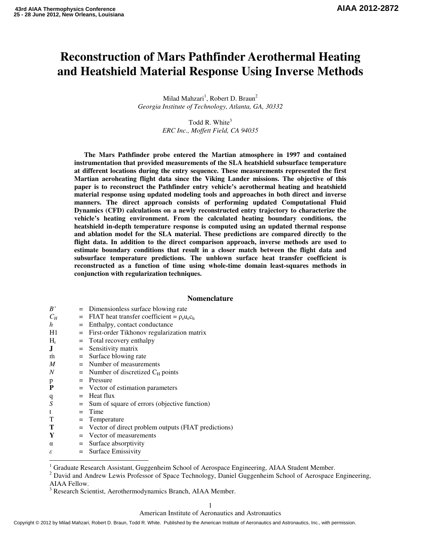# **Reconstruction of Mars Pathfinder Aerothermal Heating and Heatshield Material Response Using Inverse Methods**

Milad Mahzari<sup>1</sup>, Robert D. Braun<sup>2</sup> *Georgia Institute of Technology, Atlanta, GA, 30332*

> Todd R. White $3$ *ERC Inc., Moffett Field, CA 94035*

**The Mars Pathfinder probe entered the Martian atmosphere in 1997 and contained instrumentation that provided measurements of the SLA heatshield subsurface temperature at different locations during the entry sequence. These measurements represented the first Martian aeroheating flight data since the Viking Lander missions. The objective of this paper is to reconstruct the Pathfinder entry vehicle's aerothermal heating and heatshield material response using updated modeling tools and approaches in both direct and inverse manners. The direct approach consists of performing updated Computational Fluid Dynamics (CFD) calculations on a newly reconstructed entry trajectory to characterize the vehicle's heating environment. From the calculated heating boundary conditions, the heatshield in-depth temperature response is computed using an updated thermal response and ablation model for the SLA material. These predictions are compared directly to the flight data. In addition to the direct comparison approach, inverse methods are used to estimate boundary conditions that result in a closer match between the flight data and subsurface temperature predictions. The unblown surface heat transfer coefficient is reconstructed as a function of time using whole-time domain least-squares methods in conjunction with regularization techniques.** 

# **Nomenclature**

| B'    | = Dimensionless surface blowing rate                       |
|-------|------------------------------------------------------------|
| $C_H$ | $=$ FIAT heat transfer coefficient $= \rho_e u_e c_h$      |
| h     | Enthalpy, contact conductance<br>$=$                       |
| H1    | $=$ First-order Tikhonov regularization matrix             |
| $H_r$ | $=$ Total recovery enthalpy                                |
| J.    | $=$ Sensitivity matrix                                     |
| m     | $=$ Surface blowing rate                                   |
| M     | $=$ Number of measurements                                 |
| N     | $=$ Number of discretized $C_H$ points                     |
| p     | $=$ Pressure                                               |
| P     | = Vector of estimation parameters                          |
| q     | $=$ Heat flux                                              |
| S     | Sum of square of errors (objective function)<br>$=$        |
| t     | Time<br>$=$                                                |
| т     | Temperature<br>$=$                                         |
| т     | Vector of direct problem outputs (FIAT predictions)<br>$=$ |
| Y     | $=$ Vector of measurements                                 |
| α     | $=$ Surface absorptivity                                   |
| ε     | $=$ Surface Emissivity                                     |
|       |                                                            |

<sup>&</sup>lt;sup>1</sup><sub>2</sub> Graduate Research Assistant, Guggenheim School of Aerospace Engineering, AIAA Student Member.

<sup>2</sup> David and Andrew Lewis Professor of Space Technology, Daniel Guggenheim School of Aerospace Engineering, AIAA Fellow.

<sup>3</sup> Research Scientist, Aerothermodynamics Branch, AIAA Member.

American Institute of Aeronautics and Astronautics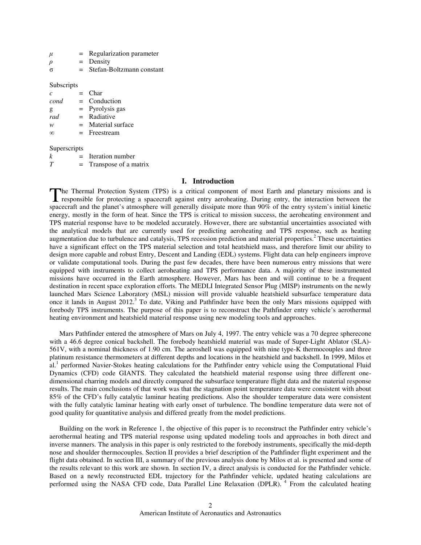|  | Regularization parameter |
|--|--------------------------|
|--|--------------------------|

- $\rho$  = Density
- σ = Stefan-Boltzmann constant

## Subscripts

| r    | $=$ | <b>Char</b>       |
|------|-----|-------------------|
| cond | $=$ | Conduction        |
| g    |     | $=$ Pyrolysis gas |
| rad  |     | $=$ Radiative     |
| w    | $=$ | Material surface  |
| ന    |     | $=$ Freestream    |
|      |     |                   |
|      |     |                   |

## **Superscripts**

| Iteration number |  |
|------------------|--|
|                  |  |

# **I. Introduction**

The Thermal Protection System (TPS) is a critical component of most Earth and planetary missions and is The Thermal Protection System (TPS) is a critical component of most Earth and planetary missions and is responsible for protecting a spacecraft against entry aeroheating. During entry, the interaction between the spacecraft and the planet's atmosphere will generally dissipate more than 90% of the entry system's initial kinetic energy, mostly in the form of heat. Since the TPS is critical to mission success, the aeroheating environment and TPS material response have to be modeled accurately. However, there are substantial uncertainties associated with the analytical models that are currently used for predicting aeroheating and TPS response, such as heating augmentation due to turbulence and catalysis, TPS recession prediction and material properties.<sup>2</sup> These uncertainties have a significant effect on the TPS material selection and total heatshield mass, and therefore limit our ability to design more capable and robust Entry, Descent and Landing (EDL) systems. Flight data can help engineers improve or validate computational tools. During the past few decades, there have been numerous entry missions that were equipped with instruments to collect aeroheating and TPS performance data. A majority of these instrumented missions have occurred in the Earth atmosphere. However, Mars has been and will continue to be a frequent destination in recent space exploration efforts. The MEDLI Integrated Sensor Plug (MISP) instruments on the newly launched Mars Science Laboratory (MSL) mission will provide valuable heatshield subsurface temperature data once it lands in August 2012.<sup>3</sup> To date, Viking and Pathfinder have been the only Mars missions equipped with forebody TPS instruments. The purpose of this paper is to reconstruct the Pathfinder entry vehicle's aerothermal heating environment and heatshield material response using new modeling tools and approaches.

Mars Pathfinder entered the atmosphere of Mars on July 4, 1997. The entry vehicle was a 70 degree spherecone with a 46.6 degree conical backshell. The forebody heatshield material was made of Super-Light Ablator (SLA)-561V, with a nominal thickness of 1.90 cm. The aeroshell was equipped with nine type-K thermocouples and three platinum resistance thermometers at different depths and locations in the heatshield and backshell. In 1999, Milos et al.<sup>1</sup> performed Navier-Stokes heating calculations for the Pathfinder entry vehicle using the Computational Fluid Dynamics (CFD) code GIANTS. They calculated the heatshield material response using three different onedimensional charring models and directly compared the subsurface temperature flight data and the material response results. The main conclusions of that work was that the stagnation point temperature data were consistent with about 85% of the CFD's fully catalytic laminar heating predictions. Also the shoulder temperature data were consistent with the fully catalytic laminar heating with early onset of turbulence. The bondline temperature data were not of good quality for quantitative analysis and differed greatly from the model predictions.

Building on the work in Reference 1, the objective of this paper is to reconstruct the Pathfinder entry vehicle's aerothermal heating and TPS material response using updated modeling tools and approaches in both direct and inverse manners. The analysis in this paper is only restricted to the forebody instruments, specifically the mid-depth nose and shoulder thermocouples. Section II provides a brief description of the Pathfinder flight experiment and the flight data obtained. In section III, a summary of the previous analysis done by Milos et al. is presented and some of the results relevant to this work are shown. In section IV, a direct analysis is conducted for the Pathfinder vehicle. Based on a newly reconstructed EDL trajectory for the Pathfinder vehicle, updated heating calculations are performed using the NASA CFD code, Data Parallel Line Relaxation (DPLR).<sup>4</sup> From the calculated heating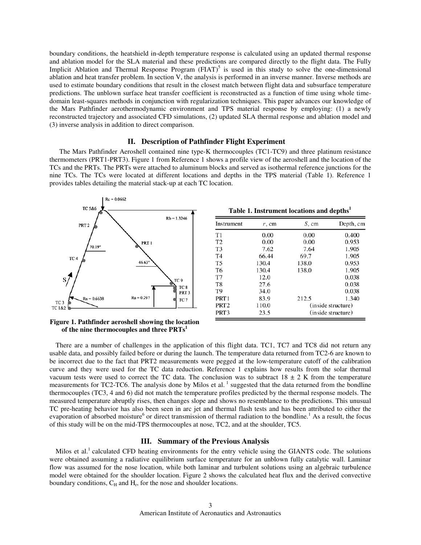boundary conditions, the heatshield in-depth temperature response is calculated using an updated thermal response and ablation model for the SLA material and these predictions are compared directly to the flight data. The Fully Implicit Ablation and Thermal Response Program  $(HAT)^5$  is used in this study to solve the one-dimensional ablation and heat transfer problem. In section V, the analysis is performed in an inverse manner. Inverse methods are used to estimate boundary conditions that result in the closest match between flight data and subsurface temperature predictions. The unblown surface heat transfer coefficient is reconstructed as a function of time using whole timedomain least-squares methods in conjunction with regularization techniques. This paper advances our knowledge of the Mars Pathfinder aerothermodynamic environment and TPS material response by employing: (1) a newly reconstructed trajectory and associated CFD simulations, (2) updated SLA thermal response and ablation model and (3) inverse analysis in addition to direct comparison.

## **II. Description of Pathfinder Flight Experiment**

The Mars Pathfinder Aeroshell contained nine type-K thermocouples (TC1-TC9) and three platinum resistance thermometers (PRT1-PRT3). Figure 1 from Reference 1 shows a profile view of the aeroshell and the location of the TCs and the PRTs. The PRTs were attached to aluminum blocks and served as isothermal reference junctions for the nine TCs. The TCs were located at different locations and depths in the TPS material (Table 1). Reference 1 provides tables detailing the material stack-up at each TC location.



| Table 1. Instrument locations and depths <sup>1</sup> |  |  |  |  |  |
|-------------------------------------------------------|--|--|--|--|--|
|-------------------------------------------------------|--|--|--|--|--|

| Instrument       | r, cm | S, cm | Depth, cm          |
|------------------|-------|-------|--------------------|
| T1               | 0.00  | 0.00  | 0.400              |
| T <sub>2</sub>   | 0.00  | 0.00  | 0.953              |
| T <sub>3</sub>   | 7.62  | 7.64  | 1.905              |
| T <sub>4</sub>   | 66.44 | 69.7  | 1.905              |
| T <sub>5</sub>   | 130.4 | 138.0 | 0.953              |
| T <sub>6</sub>   | 130.4 | 138.0 | 1.905              |
| T7               | 12.0  |       | 0.038              |
| T8               | 27.6  |       | 0.038              |
| T9               | 34.0  |       | 0.038              |
| PRT <sub>1</sub> | 83.9  | 212.5 | 1.340              |
| PRT <sub>2</sub> | 110.0 |       | (inside structure) |
| PRT3             | 23.5  |       | (inside structure) |

# **Figure 1. Pathfinder aeroshell showing the location of the nine thermocouples and three PRTs<sup>1</sup>**

There are a number of challenges in the application of this flight data. TC1, TC7 and TC8 did not return any usable data, and possibly failed before or during the launch. The temperature data returned from TC2-6 are known to be incorrect due to the fact that PRT2 measurements were pegged at the low-temperature cutoff of the calibration curve and they were used for the TC data reduction. Reference 1 explains how results from the solar thermal vacuum tests were used to correct the TC data. The conclusion was to subtract  $18 \pm 2$  K from the temperature measurements for TC2-TC6. The analysis done by Milos et al.<sup>1</sup> suggested that the data returned from the bondline thermocouples (TC3, 4 and 6) did not match the temperature profiles predicted by the thermal response models. The measured temperature abruptly rises, then changes slope and shows no resemblance to the predictions. This unusual TC pre-heating behavior has also been seen in arc jet and thermal flash tests and has been attributed to either the evaporation of absorbed moisture<sup>6</sup> or direct transmission of thermal radiation to the bondline.<sup>1</sup> As a result, the focus of this study will be on the mid-TPS thermocouples at nose, TC2, and at the shoulder, TC5.

#### **III. Summary of the Previous Analysis**

Milos et al.<sup>1</sup> calculated CFD heating environments for the entry vehicle using the GIANTS code. The solutions were obtained assuming a radiative equilibrium surface temperature for an unblown fully catalytic wall. Laminar flow was assumed for the nose location, while both laminar and turbulent solutions using an algebraic turbulence model were obtained for the shoulder location. Figure 2 shows the calculated heat flux and the derived convective boundary conditions,  $C_H$  and  $H_r$ , for the nose and shoulder locations.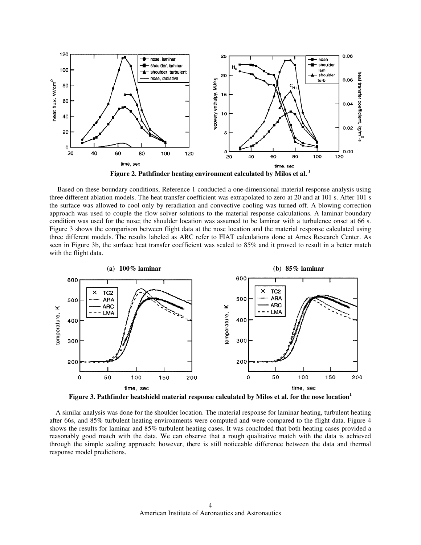

**Figure 2. Pathfinder heating environment calculated by Milos et al.<sup>1</sup>**

 Based on these boundary conditions, Reference 1 conducted a one-dimensional material response analysis using three different ablation models. The heat transfer coefficient was extrapolated to zero at 20 and at 101 s. After 101 s the surface was allowed to cool only by reradiation and convective cooling was turned off. A blowing correction approach was used to couple the flow solver solutions to the material response calculations. A laminar boundary condition was used for the nose; the shoulder location was assumed to be laminar with a turbulence onset at 66 s. Figure 3 shows the comparison between flight data at the nose location and the material response calculated using three different models. The results labeled as ARC refer to FIAT calculations done at Ames Research Center. As seen in Figure 3b, the surface heat transfer coefficient was scaled to 85% and it proved to result in a better match with the flight data.



**Figure 3. Pathfinder heatshield material response calculated by Milos et al. for the nose location<sup>1</sup>**

A similar analysis was done for the shoulder location. The material response for laminar heating, turbulent heating after 66s, and 85% turbulent heating environments were computed and were compared to the flight data. Figure 4 shows the results for laminar and 85% turbulent heating cases. It was concluded that both heating cases provided a reasonably good match with the data. We can observe that a rough qualitative match with the data is achieved through the simple scaling approach; however, there is still noticeable difference between the data and thermal response model predictions.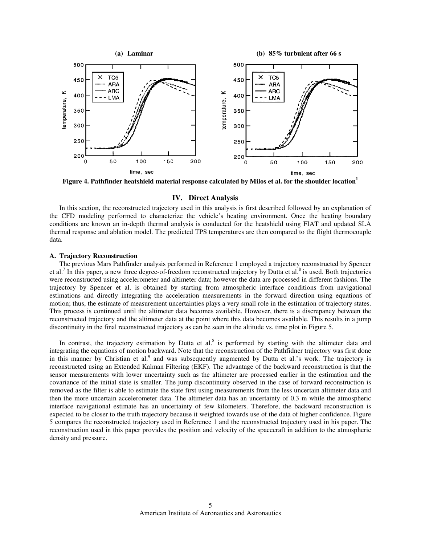

**Figure 4. Pathfinder heatshield material response calculated by Milos et al. for the shoulder location<sup>1</sup>**

# **IV. Direct Analysis**

In this section, the reconstructed trajectory used in this analysis is first described followed by an explanation of the CFD modeling performed to characterize the vehicle's heating environment. Once the heating boundary conditions are known an in-depth thermal analysis is conducted for the heatshield using FIAT and updated SLA thermal response and ablation model. The predicted TPS temperatures are then compared to the flight thermocouple data.

#### **A. Trajectory Reconstruction**

The previous Mars Pathfinder analysis performed in Reference 1 employed a trajectory reconstructed by Spencer et al.<sup>7</sup> In this paper, a new three degree-of-freedom reconstructed trajectory by Dutta et al.<sup>8</sup> is used. Both trajectories were reconstructed using accelerometer and altimeter data; however the data are processed in different fashions. The trajectory by Spencer et al. is obtained by starting from atmospheric interface conditions from navigational estimations and directly integrating the acceleration measurements in the forward direction using equations of motion; thus, the estimate of measurement uncertainties plays a very small role in the estimation of trajectory states. This process is continued until the altimeter data becomes available. However, there is a discrepancy between the reconstructed trajectory and the altimeter data at the point where this data becomes available. This results in a jump discontinuity in the final reconstructed trajectory as can be seen in the altitude vs. time plot in Figure 5.

In contrast, the trajectory estimation by Dutta et al. $8$  is performed by starting with the altimeter data and integrating the equations of motion backward. Note that the reconstruction of the Pathfidner trajectory was first done in this manner by Christian et al.<sup>9</sup> and was subsequently augmented by Dutta et al.'s work. The trajectory is reconstructed using an Extended Kalman Filtering (EKF). The advantage of the backward reconstruction is that the sensor measurements with lower uncertainty such as the altimeter are processed earlier in the estimation and the covariance of the initial state is smaller. The jump discontinuity observed in the case of forward reconstruction is removed as the filter is able to estimate the state first using measurements from the less uncertain altimeter data and then the more uncertain accelerometer data. The altimeter data has an uncertainty of 0.3 m while the atmospheric interface navigational estimate has an uncertainty of few kilometers. Therefore, the backward reconstruction is expected to be closer to the truth trajectory because it weighted towards use of the data of higher confidence. Figure 5 compares the reconstructed trajectory used in Reference 1 and the reconstructed trajectory used in his paper. The reconstruction used in this paper provides the position and velocity of the spacecraft in addition to the atmospheric density and pressure.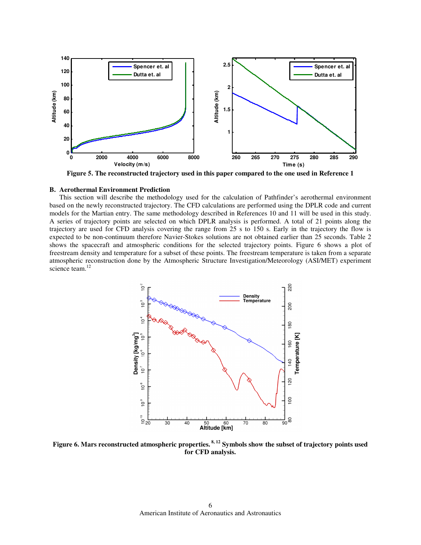

**Figure 5. The reconstructed trajectory used in this paper compared to the one used in Reference 1** 

# **B. Aerothermal Environment Prediction**

This section will describe the methodology used for the calculation of Pathfinder's aerothermal environment based on the newly reconstructed trajectory. The CFD calculations are performed using the DPLR code and current models for the Martian entry. The same methodology described in References 10 and 11 will be used in this study. A series of trajectory points are selected on which DPLR analysis is performed. A total of 21 points along the trajectory are used for CFD analysis covering the range from 25 s to 150 s. Early in the trajectory the flow is expected to be non-continuum therefore Navier-Stokes solutions are not obtained earlier than 25 seconds. Table 2 shows the spacecraft and atmospheric conditions for the selected trajectory points. Figure 6 shows a plot of freestream density and temperature for a subset of these points. The freestream temperature is taken from a separate atmospheric reconstruction done by the Atmospheric Structure Investigation/Meteorology (ASI/MET) experiment science team.<sup>12</sup>



**Figure 6. Mars reconstructed atmospheric properties. 8, 12 Symbols show the subset of trajectory points used for CFD analysis.**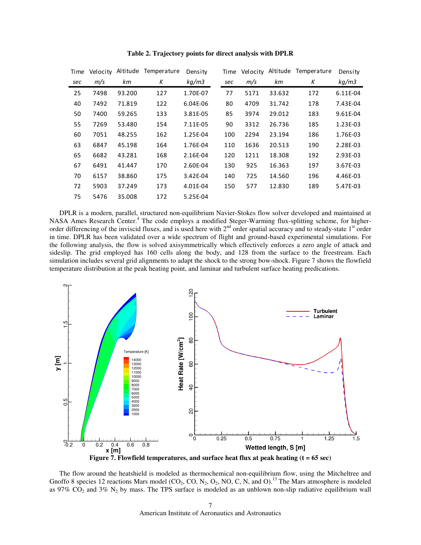| Time | Velocity | Altitude | Temperature | Density  | Time | Velocity |        | Altitude Temperature | Density  |
|------|----------|----------|-------------|----------|------|----------|--------|----------------------|----------|
| sec  | m/s      | km       | Κ           | kg/m3    | sec  | m/s      | km     | Κ                    | kg/m3    |
| 25   | 7498     | 93.200   | 127         | 1.70E-07 | 77   | 5171     | 33.632 | 172                  | 6.11E-04 |
| 40   | 7492     | 71.819   | 122         | 6.04E-06 | 80   | 4709     | 31.742 | 178                  | 7.43E-04 |
| 50   | 7400     | 59.265   | 133         | 3.81E-05 | 85   | 3974     | 29.012 | 183                  | 9.61E-04 |
| 55   | 7269     | 53.480   | 154         | 7.11E-05 | 90   | 3312     | 26.736 | 185                  | 1.23E-03 |
| 60   | 7051     | 48.255   | 162         | 1.25E-04 | 100  | 2294     | 23.194 | 186                  | 1.76E-03 |
| 63   | 6847     | 45.198   | 164         | 1.76E-04 | 110  | 1636     | 20.513 | 190                  | 2.28E-03 |
| 65   | 6682     | 43.281   | 168         | 2.16E-04 | 120  | 1211     | 18.308 | 192                  | 2.93E-03 |
| 67   | 6491     | 41.447   | 170         | 2.60E-04 | 130  | 925      | 16.363 | 197                  | 3.67E-03 |
| 70   | 6157     | 38.860   | 175         | 3.42E-04 | 140  | 725      | 14.560 | 196                  | 4.46E-03 |
| 72   | 5903     | 37.249   | 173         | 4.01E-04 | 150  | 577      | 12.830 | 189                  | 5.47E-03 |
| 75   | 5476     | 35.008   | 172         | 5.25E-04 |      |          |        |                      |          |

**Table 2. Trajectory points for direct analysis with DPLR** 

DPLR is a modern, parallel, structured non-equilibrium Navier-Stokes flow solver developed and maintained at NASA Ames Research Center.<sup>4</sup> The code employs a modified Steger-Warming flux-splitting scheme, for higherorder differencing of the inviscid fluxes, and is used here with  $2<sup>nd</sup>$  order spatial accuracy and to steady-state  $1<sup>st</sup>$  order in time. DPLR has been validated over a wide spectrum of flight and ground-based experimental simulations. For the following analysis, the flow is solved axisymmetrically which effectively enforces a zero angle of attack and sideslip. The grid employed has 160 cells along the body, and 128 from the surface to the freestream. Each simulation includes several grid alignments to adapt the shock to the strong bow-shock. Figure 7 shows the flowfield temperature distribution at the peak heating point, and laminar and turbulent surface heating predications.



**Figure 7. Flowfield temperatures, and surface heat flux at peak heating (t = 65 sec)** 

The flow around the heatshield is modeled as thermochemical non-equilibrium flow, using the Mitcheltree and Gnoffo 8 species 12 reactions Mars model (CO<sub>2</sub>, CO, N<sub>2</sub>, O<sub>2</sub>, NO, C, N, and O).<sup>13</sup> The Mars atmosphere is modeled as 97%  $CO_2$  and 3% N<sub>2</sub> by mass. The TPS surface is modeled as an unblown non-slip radiative equilibrium wall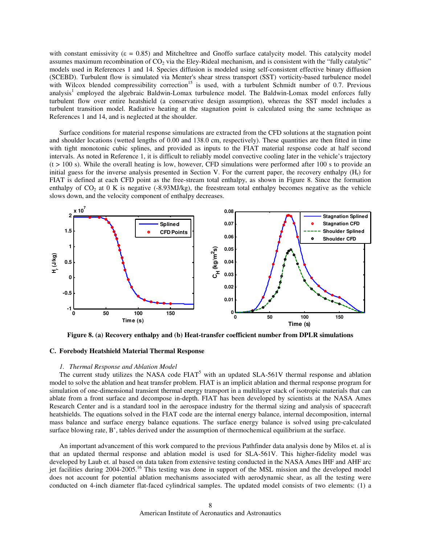with constant emissivity ( $\varepsilon = 0.85$ ) and Mitcheltree and Gnoffo surface catalycity model. This catalycity model assumes maximum recombination of  $CO<sub>2</sub>$  via the Eley-Rideal mechanism, and is consistent with the "fully catalytic" models used in References 1 and 14. Species diffusion is modeled using self-consistent effective binary diffusion (SCEBD). Turbulent flow is simulated via Menter's shear stress transport (SST) vorticity-based turbulence model with Wilcox blended compressibility correction<sup>15</sup> is used, with a turbulent Schmidt number of 0.7. Previous analysis<sup>1</sup> employed the algebraic Baldwin-Lomax turbulence model. The Baldwin-Lomax model enforces fully turbulent flow over entire heatshield (a conservative design assumption), whereas the SST model includes a turbulent transition model. Radiative heating at the stagnation point is calculated using the same technique as References 1 and 14, and is neglected at the shoulder.

Surface conditions for material response simulations are extracted from the CFD solutions at the stagnation point and shoulder locations (wetted lengths of 0.00 and 138.0 cm, respectively). These quantities are then fitted in time with tight monotonic cubic splines, and provided as inputs to the FIAT material response code at half second intervals. As noted in Reference 1, it is difficult to reliably model convective cooling later in the vehicle's trajectory  $(t > 100 s)$ . While the overall heating is low, however, CFD simulations were performed after 100 s to provide an initial guess for the inverse analysis presented in Section V. For the current paper, the recovery enthalpy  $(H_r)$  for FIAT is defined at each CFD point as the free-stream total enthalpy, as shown in Figure 8. Since the formation enthalpy of  $CO<sub>2</sub>$  at 0 K is negative (-8.93MJ/kg), the freestream total enthalpy becomes negative as the vehicle slows down, and the velocity component of enthalpy decreases.



**Figure 8. (a) Recovery enthalpy and (b) Heat-transfer coefficient number from DPLR simulations** 

## **C. Forebody Heatshield Material Thermal Response**

## *1. Thermal Response and Ablation Model*

The current study utilizes the NASA code  $FIAT<sup>5</sup>$  with an updated SLA-561V thermal response and ablation model to solve the ablation and heat transfer problem. FIAT is an implicit ablation and thermal response program for simulation of one-dimensional transient thermal energy transport in a multilayer stack of isotropic materials that can ablate from a front surface and decompose in-depth. FIAT has been developed by scientists at the NASA Ames Research Center and is a standard tool in the aerospace industry for the thermal sizing and analysis of spacecraft heatshields. The equations solved in the FIAT code are the internal energy balance, internal decomposition, internal mass balance and surface energy balance equations. The surface energy balance is solved using pre-calculated surface blowing rate, B', tables derived under the assumption of thermochemical equilibrium at the surface.

An important advancement of this work compared to the previous Pathfinder data analysis done by Milos et. al is that an updated thermal response and ablation model is used for SLA-561V. This higher-fidelity model was developed by Laub et. al based on data taken from extensive testing conducted in the NASA Ames IHF and AHF arc jet facilities during 2004-2005.<sup>16</sup> This testing was done in support of the MSL mission and the developed model does not account for potential ablation mechanisms associated with aerodynamic shear, as all the testing were conducted on 4-inch diameter flat-faced cylindrical samples. The updated model consists of two elements: (1) a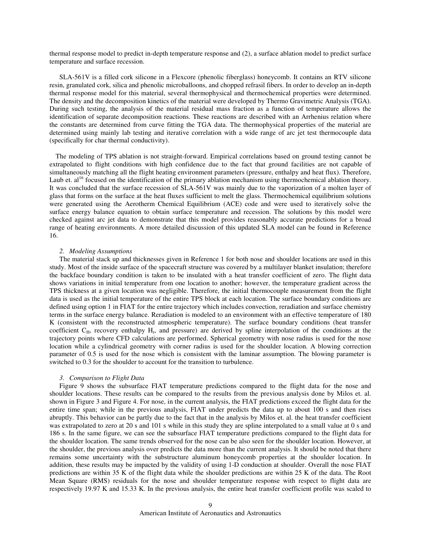thermal response model to predict in-depth temperature response and (2), a surface ablation model to predict surface temperature and surface recession.

SLA-561V is a filled cork silicone in a Flexcore (phenolic fiberglass) honeycomb. It contains an RTV silicone resin, granulated cork, silica and phenolic microballoons, and chopped refrasil fibers. In order to develop an in-depth thermal response model for this material, several thermophysical and thermochemical properties were determined. The density and the decomposition kinetics of the material were developed by Thermo Gravimetric Analysis (TGA). During such testing, the analysis of the material residual mass fraction as a function of temperature allows the identification of separate decomposition reactions. These reactions are described with an Arrhenius relation where the constants are determined from curve fitting the TGA data. The thermophysical properties of the material are determined using mainly lab testing and iterative correlation with a wide range of arc jet test thermocouple data (specifically for char thermal conductivity).

The modeling of TPS ablation is not straight-forward. Empirical correlations based on ground testing cannot be extrapolated to flight conditions with high confidence due to the fact that ground facilities are not capable of simultaneously matching all the flight heating environment parameters (pressure, enthalpy and heat flux). Therefore, Laub et.  $al^{16}$  focused on the identification of the primary ablation mechanism using thermochemical ablation theory. It was concluded that the surface recession of SLA-561V was mainly due to the vaporization of a molten layer of glass that forms on the surface at the heat fluxes sufficient to melt the glass. Thermochemical equilibrium solutions were generated using the Aerotherm Chemical Equilibrium (ACE) code and were used to iteratively solve the surface energy balance equation to obtain surface temperature and recession. The solutions by this model were checked against arc jet data to demonstrate that this model provides reasonably accurate predictions for a broad range of heating environments. A more detailed discussion of this updated SLA model can be found in Reference 16.

#### *2. Modeling Assumptions*

The material stack up and thicknesses given in Reference 1 for both nose and shoulder locations are used in this study. Most of the inside surface of the spacecraft structure was covered by a multilayer blanket insulation; therefore the backface boundary condition is taken to be insulated with a heat transfer coefficient of zero. The flight data shows variations in initial temperature from one location to another; however, the temperature gradient across the TPS thickness at a given location was negligible. Therefore, the initial thermocouple measurement from the flight data is used as the initial temperature of the entire TPS block at each location. The surface boundary conditions are defined using option 1 in FIAT for the entire trajectory which includes convection, reradiation and surface chemistry terms in the surface energy balance. Reradiation is modeled to an environment with an effective temperature of 180 K (consistent with the reconstructed atmospheric temperature). The surface boundary conditions (heat transfer coefficient  $C_H$ , recovery enthalpy  $H_r$ , and pressure) are derived by spline interpolation of the conditions at the trajectory points where CFD calculations are performed. Spherical geometry with nose radius is used for the nose location while a cylindrical geometry with corner radius is used for the shoulder location. A blowing correction parameter of 0.5 is used for the nose which is consistent with the laminar assumption. The blowing parameter is switched to 0.3 for the shoulder to account for the transition to turbulence.

#### *3. Comparison to Flight Data*

 Figure 9 shows the subsurface FIAT temperature predictions compared to the flight data for the nose and shoulder locations. These results can be compared to the results from the previous analysis done by Milos et. al. shown in Figure 3 and Figure 4. For nose, in the current analysis, the FIAT predictions exceed the flight data for the entire time span; while in the previous analysis, FIAT under predicts the data up to about 100 s and then rises abruptly. This behavior can be partly due to the fact that in the analysis by Milos et. al. the heat transfer coefficient was extrapolated to zero at 20 s and 101 s while in this study they are spline interpolated to a small value at 0 s and 186 s. In the same figure, we can see the subsurface FIAT temperature predictions compared to the flight data for the shoulder location. The same trends observed for the nose can be also seen for the shoulder location. However, at the shoulder, the previous analysis over predicts the data more than the current analysis. It should be noted that there remains some uncertainty with the substructure aluminum honeycomb properties at the shoulder location. In addition, these results may be impacted by the validity of using 1-D conduction at shoulder. Overall the nose FIAT predictions are within 35 K of the flight data while the shoulder predictions are within 25 K of the data. The Root Mean Square (RMS) residuals for the nose and shoulder temperature response with respect to flight data are respectively 19.97 K and 15.33 K. In the previous analysis, the entire heat transfer coefficient profile was scaled to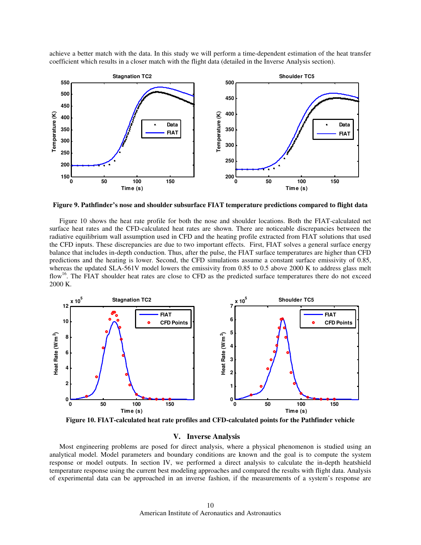achieve a better match with the data. In this study we will perform a time-dependent estimation of the heat transfer coefficient which results in a closer match with the flight data (detailed in the Inverse Analysis section).



**Figure 9. Pathfinder's nose and shoulder subsurface FIAT temperature predictions compared to flight data** 

Figure 10 shows the heat rate profile for both the nose and shoulder locations. Both the FIAT-calculated net surface heat rates and the CFD-calculated heat rates are shown. There are noticeable discrepancies between the radiative equilibrium wall assumption used in CFD and the heating profile extracted from FIAT solutions that used the CFD inputs. These discrepancies are due to two important effects. First, FIAT solves a general surface energy balance that includes in-depth conduction. Thus, after the pulse, the FIAT surface temperatures are higher than CFD predictions and the heating is lower. Second, the CFD simulations assume a constant surface emissivity of 0.85, whereas the updated SLA-561V model lowers the emissivity from 0.85 to 0.5 above 2000 K to address glass melt flow<sup>16</sup>. The FIAT shoulder heat rates are close to CFD as the predicted surface temperatures there do not exceed 2000 K.



**Figure 10. FIAT-calculated heat rate profiles and CFD-calculated points for the Pathfinder vehicle** 

## **V. Inverse Analysis**

Most engineering problems are posed for direct analysis, where a physical phenomenon is studied using an analytical model. Model parameters and boundary conditions are known and the goal is to compute the system response or model outputs. In section IV, we performed a direct analysis to calculate the in-depth heatshield temperature response using the current best modeling approaches and compared the results with flight data. Analysis of experimental data can be approached in an inverse fashion, if the measurements of a system's response are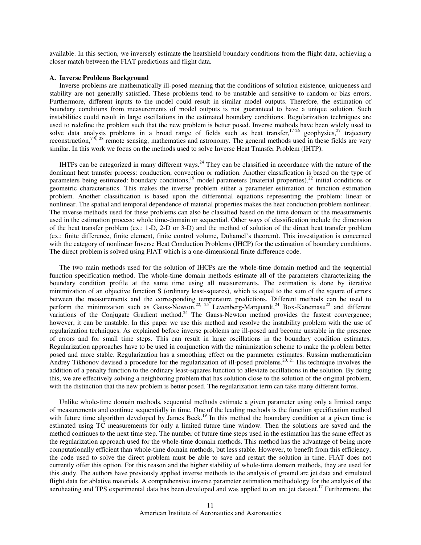available. In this section, we inversely estimate the heatshield boundary conditions from the flight data, achieving a closer match between the FIAT predictions and flight data.

#### **A. Inverse Problems Background**

Inverse problems are mathematically ill-posed meaning that the conditions of solution existence, uniqueness and stability are not generally satisfied. These problems tend to be unstable and sensitive to random or bias errors. Furthermore, different inputs to the model could result in similar model outputs. Therefore, the estimation of boundary conditions from measurements of model outputs is not guaranteed to have a unique solution. Such instabilities could result in large oscillations in the estimated boundary conditions. Regularization techniques are used to redefine the problem such that the new problem is better posed. Inverse methods have been widely used to solve data analysis problems in a broad range of fields such as heat transfer,<sup>17-26</sup> geophysics,<sup>27</sup> trajectory reconstruction,<sup>7-9, 28</sup> remote sensing, mathematics and astronomy. The general methods used in these fields are very similar. In this work we focus on the methods used to solve Inverse Heat Transfer Problem (IHTP).

IHTPs can be categorized in many different ways.<sup>24</sup> They can be classified in accordance with the nature of the dominant heat transfer process: conduction, convection or radiation. Another classification is based on the type of parameters being estimated: boundary conditions,<sup>19</sup> model parameters (material properties),<sup>22</sup> initial conditions or geometric characteristics. This makes the inverse problem either a parameter estimation or function estimation problem. Another classification is based upon the differential equations representing the problem: linear or nonlinear. The spatial and temporal dependence of material properties makes the heat conduction problem nonlinear. The inverse methods used for these problems can also be classified based on the time domain of the measurements used in the estimation process: whole time-domain or sequential. Other ways of classification include the dimension of the heat transfer problem (ex.: 1-D, 2-D or 3-D) and the method of solution of the direct heat transfer problem (ex.: finite difference, finite element, finite control volume, Duhamel's theorem). This investigation is concerned with the category of nonlinear Inverse Heat Conduction Problems (IHCP) for the estimation of boundary conditions. The direct problem is solved using FIAT which is a one-dimensional finite difference code.

 The two main methods used for the solution of IHCPs are the whole-time domain method and the sequential function specification method. The whole-time domain methods estimate all of the parameters characterizing the boundary condition profile at the same time using all measurements. The estimation is done by iterative minimization of an objective function S (ordinary least-squares), which is equal to the sum of the square of errors between the measurements and the corresponding temperature predictions. Different methods can be used to perform the minimization such as Gauss-Newton,<sup>22, 25</sup> Levenberg-Marquardt,<sup>24</sup> Box-Kanemasu<sup>22</sup> and different variations of the Conjugate Gradient method.<sup>24</sup> The Gauss-Newton method provides the fastest convergence; however, it can be unstable. In this paper we use this method and resolve the instability problem with the use of regularization techniques. As explained before inverse problems are ill-posed and become unstable in the presence of errors and for small time steps. This can result in large oscillations in the boundary condition estimates. Regularization approaches have to be used in conjunction with the minimization scheme to make the problem better posed and more stable. Regularization has a smoothing effect on the parameter estimates. Russian mathematician Andrey Tikhonov devised a procedure for the regularization of ill-posed problems.<sup>20, 21</sup> His technique involves the addition of a penalty function to the ordinary least-squares function to alleviate oscillations in the solution. By doing this, we are effectively solving a neighboring problem that has solution close to the solution of the original problem, with the distinction that the new problem is better posed. The regularization term can take many different forms.

 Unlike whole-time domain methods, sequential methods estimate a given parameter using only a limited range of measurements and continue sequentially in time. One of the leading methods is the function specification method with future time algorithm developed by James Beck.<sup>19</sup> In this method the boundary condition at a given time is estimated using TC measurements for only a limited future time window. Then the solutions are saved and the method continues to the next time step. The number of future time steps used in the estimation has the same effect as the regularization approach used for the whole-time domain methods. This method has the advantage of being more computationally efficient than whole-time domain methods, but less stable. However, to benefit from this efficiency, the code used to solve the direct problem must be able to save and restart the solution in time. FIAT does not currently offer this option. For this reason and the higher stability of whole-time domain methods, they are used for this study. The authors have previously applied inverse methods to the analysis of ground arc jet data and simulated flight data for ablative materials. A comprehensive inverse parameter estimation methodology for the analysis of the aeroheating and TPS experimental data has been developed and was applied to an arc jet dataset.<sup>17</sup> Furthermore, the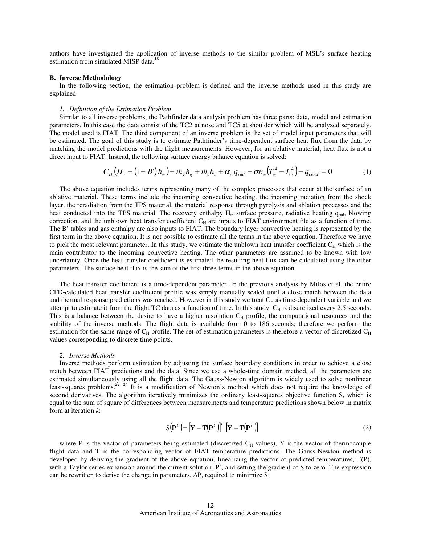authors have investigated the application of inverse methods to the similar problem of MSL's surface heating estimation from simulated MISP data.<sup>18</sup>

#### **B. Inverse Methodology**

In the following section, the estimation problem is defined and the inverse methods used in this study are explained.

#### *1. Definition of the Estimation Problem*

Similar to all inverse problems, the Pathfinder data analysis problem has three parts: data, model and estimation parameters. In this case the data consist of the TC2 at nose and TC5 at shoulder which will be analyzed separately. The model used is FIAT. The third component of an inverse problem is the set of model input parameters that will be estimated. The goal of this study is to estimate Pathfinder's time-dependent surface heat flux from the data by matching the model predictions with the flight measurements. However, for an ablative material, heat flux is not a direct input to FIAT. Instead, the following surface energy balance equation is solved:

$$
C_H (H_r - (1 + B')h_w) + m_g h_g + m_c h_c + \alpha_w q_{rad} - \sigma \varepsilon_w (T_w^4 - T_w^4) - q_{cond} = 0
$$
 (1)

The above equation includes terms representing many of the complex processes that occur at the surface of an ablative material. These terms include the incoming convective heating, the incoming radiation from the shock layer, the reradiation from the TPS material, the material response through pyrolysis and ablation processes and the heat conducted into the TPS material. The recovery enthalpy H<sub>r</sub>, surface pressure, radiative heating q<sub>rad</sub>, blowing correction, and the unblown heat transfer coefficient  $C_H$  are inputs to FIAT environment file as a function of time. The B' tables and gas enthalpy are also inputs to FIAT. The boundary layer convective heating is represented by the first term in the above equation. It is not possible to estimate all the terms in the above equation. Therefore we have to pick the most relevant parameter. In this study, we estimate the unblown heat transfer coefficient  $C_H$  which is the main contributor to the incoming convective heating. The other parameters are assumed to be known with low uncertainty. Once the heat transfer coefficient is estimated the resulting heat flux can be calculated using the other parameters. The surface heat flux is the sum of the first three terms in the above equation.

The heat transfer coefficient is a time-dependent parameter. In the previous analysis by Milos et al. the entire CFD-calculated heat transfer coefficient profile was simply manually scaled until a close match between the data and thermal response predictions was reached. However in this study we treat  $C_H$  as time-dependent variable and we attempt to estimate it from the flight TC data as a function of time. In this study,  $C_H$  is discretized every 2.5 seconds. This is a balance between the desire to have a higher resolution  $C_H$  profile, the computational resources and the stability of the inverse methods. The flight data is available from 0 to 186 seconds; therefore we perform the estimation for the same range of  $C_H$  profile. The set of estimation parameters is therefore a vector of discretized  $C_H$ values corresponding to discrete time points.

#### *2. Inverse Methods*

Inverse methods perform estimation by adjusting the surface boundary conditions in order to achieve a close match between FIAT predictions and the data. Since we use a whole-time domain method, all the parameters are estimated simultaneously using all the flight data. The Gauss-Newton algorithm is widely used to solve nonlinear least-squares problems.<sup>22, 24</sup> It is a modification of Newton's method which does not require the knowledge of second derivatives. The algorithm iteratively minimizes the ordinary least-squares objective function S, which is equal to the sum of square of differences between measurements and temperature predictions shown below in matrix form at iteration *k*:

$$
S(\mathbf{P}^k) = [\mathbf{Y} - \mathbf{T}(\mathbf{P}^k)]^T [\mathbf{Y} - \mathbf{T}(\mathbf{P}^k)] \tag{2}
$$

where P is the vector of parameters being estimated (discretized  $C_H$  values), Y is the vector of thermocouple flight data and T is the corresponding vector of FIAT temperature predictions. The Gauss-Newton method is developed by deriving the gradient of the above equation, linearizing the vector of predicted temperatures, T(P), with a Taylor series expansion around the current solution,  $P^k$ , and setting the gradient of S to zero. The expression can be rewritten to derive the change in parameters, ∆P, required to minimize S: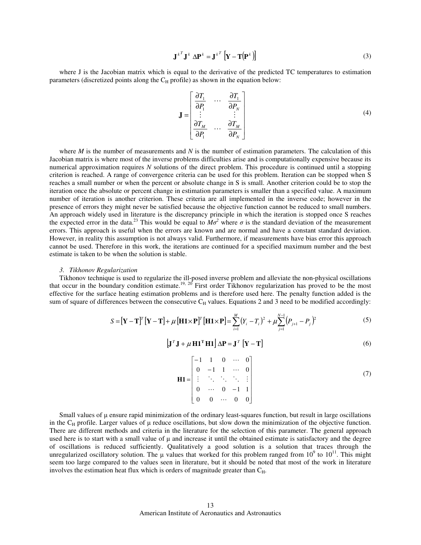$$
\mathbf{J}^{k} \mathbf{J}^{k} \Delta \mathbf{P}^{k} = \mathbf{J}^{k} \left[ \mathbf{Y} - \mathbf{T} \left( \mathbf{P}^{k} \right) \right]
$$
 (3)

where J is the Jacobian matrix which is equal to the derivative of the predicted TC temperatures to estimation parameters (discretized points along the  $C_H$  profile) as shown in the equation below:

$$
\mathbf{J} = \begin{bmatrix} \frac{\partial T_1}{\partial P_1} & \cdots & \frac{\partial T_1}{\partial P_N} \\ \vdots & & \vdots \\ \frac{\partial T_M}{\partial P_1} & \cdots & \frac{\partial T_M}{\partial P_N} \end{bmatrix}
$$
(4)

where *M* is the number of measurements and *N* is the number of estimation parameters. The calculation of this Jacobian matrix is where most of the inverse problems difficulties arise and is computationally expensive because its numerical approximation requires *N* solutions of the direct problem. This procedure is continued until a stopping criterion is reached. A range of convergence criteria can be used for this problem. Iteration can be stopped when S reaches a small number or when the percent or absolute change in S is small. Another criterion could be to stop the iteration once the absolute or percent change in estimation parameters is smaller than a specified value. A maximum number of iteration is another criterion. These criteria are all implemented in the inverse code; however in the presence of errors they might never be satisfied because the objective function cannot be reduced to small numbers. An approach widely used in literature is the discrepancy principle in which the iteration is stopped once S reaches the expected error in the data.<sup>23</sup> This would be equal to  $M\sigma^2$  where  $\sigma$  is the standard deviation of the measurement errors. This approach is useful when the errors are known and are normal and have a constant standard deviation. However, in reality this assumption is not always valid. Furthermore, if measurements have bias error this approach cannot be used. Therefore in this work, the iterations are continued for a specified maximum number and the best estimate is taken to be when the solution is stable.

#### *3. Tikhonov Regularization*

Tikhonov technique is used to regularize the ill-posed inverse problem and alleviate the non-physical oscillations that occur in the boundary condition estimate.<sup>19, 20</sup> First order Tikhonov regularization has proved to be the most effective for the surface heating estimation problems and is therefore used here. The penalty function added is the sum of square of differences between the consecutive  $C_H$  values. Equations 2 and 3 need to be modified accordingly:

$$
S = \left[\mathbf{Y} - \mathbf{T}\right]^{T} \left[\mathbf{Y} - \mathbf{T}\right] + \mu \left[\mathbf{H} \mathbf{1} \times \mathbf{P}\right]^{T} \left[\mathbf{H} \mathbf{1} \times \mathbf{P}\right] = \sum_{i=1}^{M} \left(Y_{i} - T_{i}\right)^{2} + \mu \sum_{j=1}^{N-1} \left(P_{j+1} - P_{j}\right)^{2}
$$
(5)

$$
\left[\mathbf{J}^T \mathbf{J} + \mu \mathbf{H} \mathbf{1}^T \mathbf{H} \mathbf{1}\right] \Delta \mathbf{P} = \mathbf{J}^T \left[\mathbf{Y} - \mathbf{T}\right]
$$
 (6)

| $\mathbf{H1} = \begin{bmatrix} -1 & 1 & 0 & \cdots & 0 \\ 0 & -1 & 1 & \cdots & 0 \\ \vdots & \ddots & \ddots & \ddots & \vdots \\ 0 & \cdots & 0 & -1 & 1 \\ 0 & 0 & \cdots & 0 & 0 \end{bmatrix}$ |  |  |  |
|-----------------------------------------------------------------------------------------------------------------------------------------------------------------------------------------------------|--|--|--|
|                                                                                                                                                                                                     |  |  |  |

Small values of  $\mu$  ensure rapid minimization of the ordinary least-squares function, but result in large oscillations in the  $C_H$  profile. Larger values of  $\mu$  reduce oscillations, but slow down the minimization of the objective function. There are different methods and criteria in the literature for the selection of this parameter. The general approach used here is to start with a small value of  $\mu$  and increase it until the obtained estimate is satisfactory and the degree of oscillations is reduced sufficiently. Qualitatively a good solution is a solution that traces through the unregularized oscillatory solution. The  $\mu$  values that worked for this problem ranged from  $10^9$  to  $10^{11}$ . This might seem too large compared to the values seen in literature, but it should be noted that most of the work in literature involves the estimation heat flux which is orders of magnitude greater than  $C_H$ .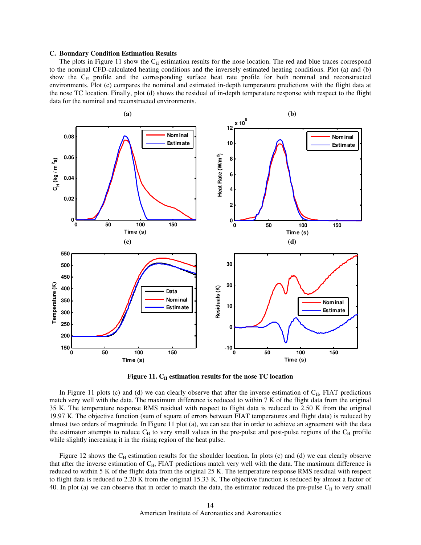#### **C. Boundary Condition Estimation Results**

The plots in Figure 11 show the  $C_H$  estimation results for the nose location. The red and blue traces correspond to the nominal CFD-calculated heating conditions and the inversely estimated heating conditions. Plot (a) and (b) show the C<sub>H</sub> profile and the corresponding surface heat rate profile for both nominal and reconstructed environments. Plot (c) compares the nominal and estimated in-depth temperature predictions with the flight data at the nose TC location. Finally, plot (d) shows the residual of in-depth temperature response with respect to the flight data for the nominal and reconstructed environments.



Figure 11. C<sub>H</sub> estimation results for the nose TC location

In Figure 11 plots (c) and (d) we can clearly observe that after the inverse estimation of  $C_H$ , FIAT predictions match very well with the data. The maximum difference is reduced to within 7 K of the flight data from the original 35 K. The temperature response RMS residual with respect to flight data is reduced to 2.50 K from the original 19.97 K. The objective function (sum of square of errors between FIAT temperatures and flight data) is reduced by almost two orders of magnitude. In Figure 11 plot (a), we can see that in order to achieve an agreement with the data the estimator attempts to reduce  $C_H$  to very small values in the pre-pulse and post-pulse regions of the  $C_H$  profile while slightly increasing it in the rising region of the heat pulse.

Figure 12 shows the  $C_H$  estimation results for the shoulder location. In plots (c) and (d) we can clearly observe that after the inverse estimation of C<sub>H</sub>, FIAT predictions match very well with the data. The maximum difference is reduced to within 5 K of the flight data from the original 25 K. The temperature response RMS residual with respect to flight data is reduced to 2.20 K from the original 15.33 K. The objective function is reduced by almost a factor of 40. In plot (a) we can observe that in order to match the data, the estimator reduced the pre-pulse  $C_H$  to very small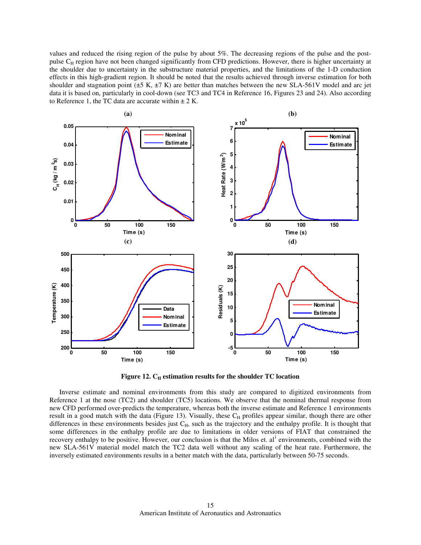values and reduced the rising region of the pulse by about 5%. The decreasing regions of the pulse and the postpulse C<sub>H</sub> region have not been changed significantly from CFD predictions. However, there is higher uncertainty at the shoulder due to uncertainty in the substructure material properties, and the limitations of the 1-D conduction effects in this high-gradient region. It should be noted that the results achieved through inverse estimation for both shoulder and stagnation point ( $\pm$ 5 K,  $\pm$ 7 K) are better than matches between the new SLA-561V model and arc jet data it is based on, particularly in cool-down (see TC3 and TC4 in Reference 16, Figures 23 and 24). Also according to Reference 1, the TC data are accurate within  $\pm 2$  K.



**Figure 12. CH estimation results for the shoulder TC location** 

Inverse estimate and nominal environments from this study are compared to digitized environments from Reference 1 at the nose (TC2) and shoulder (TC5) locations. We observe that the nominal thermal response from new CFD performed over-predicts the temperature, whereas both the inverse estimate and Reference 1 environments result in a good match with the data (Figure 13). Visually, these  $C_H$  profiles appear similar, though there are other differences in these environments besides just  $C_H$ , such as the trajectory and the enthalpy profile. It is thought that some differences in the enthalpy profile are due to limitations in older versions of FIAT that constrained the recovery enthalpy to be positive. However, our conclusion is that the Milos et.  $al<sup>1</sup>$  environments, combined with the new SLA-561V material model match the TC2 data well without any scaling of the heat rate. Furthermore, the inversely estimated environments results in a better match with the data, particularly between 50-75 seconds.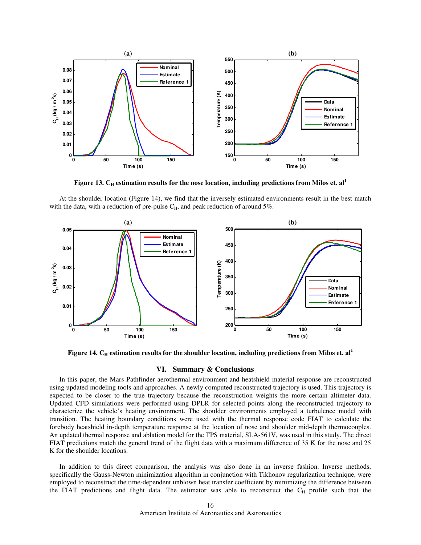

**Figure 13. CH estimation results for the nose location, including predictions from Milos et. al<sup>1</sup>**

At the shoulder location (Figure 14), we find that the inversely estimated environments result in the best match with the data, with a reduction of pre-pulse  $C_H$ , and peak reduction of around 5%.



Figure 14. C<sub>H</sub> estimation results for the shoulder location, including predictions from Milos et. al<sup>1</sup>

# **VI. Summary & Conclusions**

In this paper, the Mars Pathfinder aerothermal environment and heatshield material response are reconstructed using updated modeling tools and approaches. A newly computed reconstructed trajectory is used. This trajectory is expected to be closer to the true trajectory because the reconstruction weights the more certain altimeter data. Updated CFD simulations were performed using DPLR for selected points along the reconstructed trajectory to characterize the vehicle's heating environment. The shoulder environments employed a turbulence model with transition. The heating boundary conditions were used with the thermal response code FIAT to calculate the forebody heatshield in-depth temperature response at the location of nose and shoulder mid-depth thermocouples. An updated thermal response and ablation model for the TPS material, SLA-561V, was used in this study. The direct FIAT predictions match the general trend of the flight data with a maximum difference of 35 K for the nose and 25 K for the shoulder locations.

 In addition to this direct comparison, the analysis was also done in an inverse fashion. Inverse methods, specifically the Gauss-Newton minimization algorithm in conjunction with Tikhonov regularization technique, were employed to reconstruct the time-dependent unblown heat transfer coefficient by minimizing the difference between the FIAT predictions and flight data. The estimator was able to reconstruct the  $C_H$  profile such that the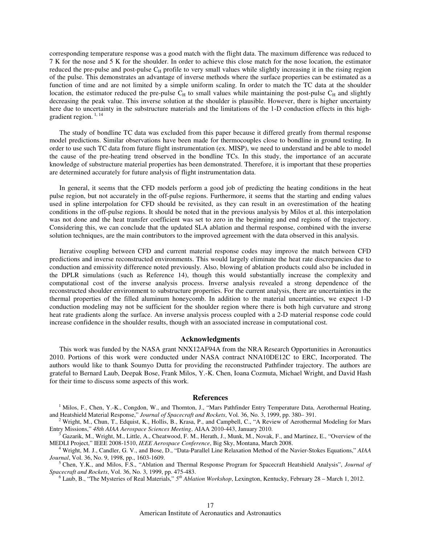corresponding temperature response was a good match with the flight data. The maximum difference was reduced to 7 K for the nose and 5 K for the shoulder. In order to achieve this close match for the nose location, the estimator reduced the pre-pulse and post-pulse  $C_H$  profile to very small values while slightly increasing it in the rising region of the pulse. This demonstrates an advantage of inverse methods where the surface properties can be estimated as a function of time and are not limited by a simple uniform scaling. In order to match the TC data at the shoulder location, the estimator reduced the pre-pulse  $C_H$  to small values while maintaining the post-pulse  $C_H$  and slightly decreasing the peak value. This inverse solution at the shoulder is plausible. However, there is higher uncertainty here due to uncertainty in the substructure materials and the limitations of the 1-D conduction effects in this highgradient region.<sup>1, 14</sup>

The study of bondline TC data was excluded from this paper because it differed greatly from thermal response model predictions. Similar observations have been made for thermocouples close to bondline in ground testing. In order to use such TC data from future flight instrumentation (ex. MISP), we need to understand and be able to model the cause of the pre-heating trend observed in the bondline TCs. In this study, the importance of an accurate knowledge of substructure material properties has been demonstrated. Therefore, it is important that these properties are determined accurately for future analysis of flight instrumentation data.

In general, it seems that the CFD models perform a good job of predicting the heating conditions in the heat pulse region, but not accurately in the off-pulse regions. Furthermore, it seems that the starting and ending values used in spline interpolation for CFD should be revisited, as they can result in an overestimation of the heating conditions in the off-pulse regions. It should be noted that in the previous analysis by Milos et al. this interpolation was not done and the heat transfer coefficient was set to zero in the beginning and end regions of the trajectory. Considering this, we can conclude that the updated SLA ablation and thermal response, combined with the inverse solution techniques, are the main contributors to the improved agreement with the data observed in this analysis.

Iterative coupling between CFD and current material response codes may improve the match between CFD predictions and inverse reconstructed environments. This would largely eliminate the heat rate discrepancies due to conduction and emissivity difference noted previously. Also, blowing of ablation products could also be included in the DPLR simulations (such as Reference 14), though this would substantially increase the complexity and computational cost of the inverse analysis process. Inverse analysis revealed a strong dependence of the reconstructed shoulder environment to substructure properties. For the current analysis, there are uncertainties in the thermal properties of the filled aluminum honeycomb. In addition to the material uncertainties, we expect 1-D conduction modeling may not be sufficient for the shoulder region where there is both high curvature and strong heat rate gradients along the surface. An inverse analysis process coupled with a 2-D material response code could increase confidence in the shoulder results, though with an associated increase in computational cost.

## **Acknowledgments**

This work was funded by the NASA grant NNX12AF94A from the NRA Research Opportunities in Aeronautics 2010. Portions of this work were conducted under NASA contract NNA10DE12C to ERC, Incorporated. The authors would like to thank Soumyo Dutta for providing the reconstructed Pathfinder trajectory. The authors are grateful to Bernard Laub, Deepak Bose, Frank Milos, Y.-K. Chen, Ioana Cozmuta, Michael Wright, and David Hash for their time to discuss some aspects of this work.

## **References**

<sup>1</sup> Milos, F., Chen, Y.-K., Congdon, W., and Thornton, J., "Mars Pathfinder Entry Temperature Data, Aerothermal Heating, and Heatshield Material Response," *Journal of Spacecraft and Rockets*, Vol. 36, No. 3, 1999, pp. 380– 391.

<sup>2</sup> Wright, M., Chun, T., Edquist, K., Hollis, B., Krasa, P., and Campbell, C., "A Review of Aerothermal Modeling for Mars Entry Missions," *48th AIAA Aerospace Sciences Meeting*, AIAA 2010-443, January 2010.

<sup>3</sup> Gazarik, M., Wright, M., Little, A., Cheatwood, F. M., Herath, J., Munk, M., Novak, F., and Martinez, E., "Overview of the MEDLI Project," IEEE 2008-1510, *IEEE Aerospace Conference*, Big Sky, Montana, March 2008.

<sup>4</sup> Wright, M. J., Candler, G. V., and Bose, D., "Data-Parallel Line Relaxation Method of the Navier-Stokes Equations," *AIAA Journal*, Vol. 36, No. 9, 1998, pp., 1603-1609.

<sup>5</sup> Chen, Y.K., and Milos, F.S., "Ablation and Thermal Response Program for Spacecraft Heatshield Analysis", *Journal of Spacecraft and Rockets*, Vol. 36, No. 3, 1999, pp. 475-483.

<sup>6</sup> Laub, B., "The Mysteries of Real Materials," 5<sup>th</sup> Ablation Workshop, Lexington, Kentucky, February 28 – March 1, 2012.